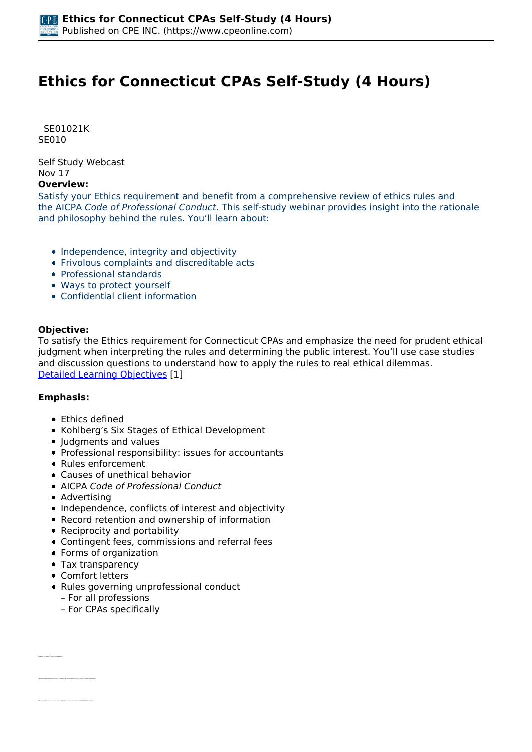# **Ethics for Connecticut CPAs Self-Study (4 Hours)**

 *SE01021K SE010* 

*Self Study Webcast Nov 17* 

### **Overview:**

*Satisfy your Ethics requirement and benefit from a comprehensive review of ethics rules and the AICPA Code of Professional Conduct. This self-study webinar provides insight into the rationale and philosophy behind the rules. You'll learn about:*

- *Independence, integrity and objectivity*
- *Frivolous complaints and discreditable acts*
- *Professional standards*
- *Ways to protect yourself*
- *Confidential client information*

#### **Objective:**

*To satisfy the Ethics requirement for Connecticut CPAs and emphasize the need for prudent ethical judgment when interpreting the rules and determining the public interest. You'll use case studies and discussion questions to understand how to apply the rules to real ethical dilemmas. [Detailed Learning Objectives](https://www.cpeonline.com/JavaScript:showObjectivesPopup();) [1]*

#### **Emphasis:**

- *Ethics defined*
- *Kohlberg's Six Stages of Ethical Development*
- *Judgments and values*
- *Professional responsibility: issues for accountants*
- *Rules enforcement*
- *Causes of unethical behavior*
- *AICPA Code of Professional Conduct*
- *Advertising*
- *Independence, conflicts of interest and objectivity*
- *Record retention and ownership of information*
- *Reciprocity and portability*
- *Contingent fees, commissions and referral fees*
- *Forms of organization*
- *Tax transparency*
- *Comfort letters*

*• Identify the different ways to define ethics*

- *Rules governing unprofessional conduct*
	- *For all professions*
	- *For CPAs specifically*